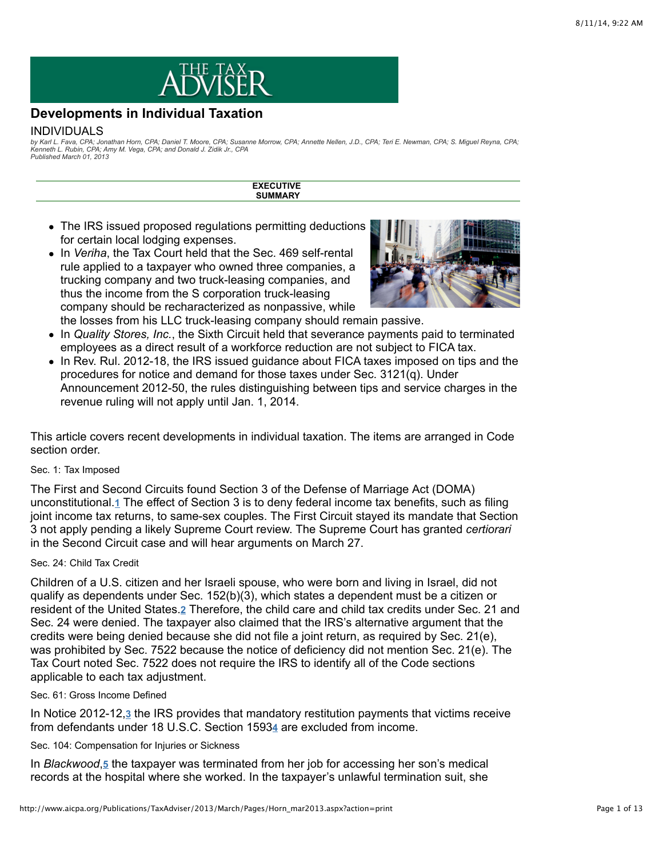

# **Developments in Individual Taxation**

#### INDIVIDUALS

by Karl L. Fava, CPA; Jonathan Horn, CPA; Daniel T. Moore, CPA; Susanne Morrow, CPA; Annette Nellen, J.D., CPA; Teri E. Newman, CPA; S. Miguel Reyna, CPA;<br>Kenneth L. Rubin, CPA; Amy M. Vega, CPA; and Donald J. Zidik Jr., C *Published March 01, 2013*

> **EXECUTIVE SUMMARY**

- The IRS issued proposed regulations permitting deductions for certain local lodging expenses.
- In *Veriha*, the Tax Court held that the Sec. 469 self-rental rule applied to a taxpayer who owned three companies, a trucking company and two truck-leasing companies, and thus the income from the S corporation truck-leasing company should be recharacterized as nonpassive, while



- the losses from his LLC truck-leasing company should remain passive.
- In *Quality Stores, Inc.*, the Sixth Circuit held that severance payments paid to terminated employees as a direct result of a workforce reduction are not subject to FICA tax.
- In Rev. Rul. 2012-18, the IRS issued quidance about FICA taxes imposed on tips and the procedures for notice and demand for those taxes under Sec. 3121(q). Under Announcement 2012-50, the rules distinguishing between tips and service charges in the revenue ruling will not apply until Jan. 1, 2014.

This article covers recent developments in individual taxation. The items are arranged in Code section order.

# Sec. 1: Tax Imposed

The First and Second Circuits found Section 3 of the Defense of Marriage Act (DOMA) unconstitutional.<u>1</u>The effect of Section 3 is to deny federal income tax benefits, such as filing joint income tax returns, to same-sex couples. The First Circuit stayed its mandate that Section 3 not apply pending a likely Supreme Court review. The Supreme Court has granted *certiorari* in the Second Circuit case and will hear arguments on March 27.

## Sec. 24: Child Tax Credit

Children of a U.S. citizen and her Israeli spouse, who were born and living in Israel, did not qualify as dependents under Sec. 152(b)(3), which states a dependent must be a citizen or residentof the United States.2 Therefore, the child care and child tax credits under Sec. 21 and Sec. 24 were denied. The taxpayer also claimed that the IRS's alternative argument that the credits were being denied because she did not file a joint return, as required by Sec. 21(e), was prohibited by Sec. 7522 because the notice of deficiency did not mention Sec. 21(e). The Tax Court noted Sec. 7522 does not require the IRS to identify all of the Code sections applicable to each tax adjustment.

#### Sec. 61: Gross Income Defined

In Notice 2012-12,3 the IRS provides that mandatory restitution payments that victims receive fromdefendants under 18 U.S.C. Section 15934 are excluded from income.

Sec. 104: Compensation for Injuries or Sickness

In *Blackwood*,<sup>5</sup> the taxpayer was terminated from her job for accessing her son's medical records at the hospital where she worked. In the taxpayer's unlawful termination suit, she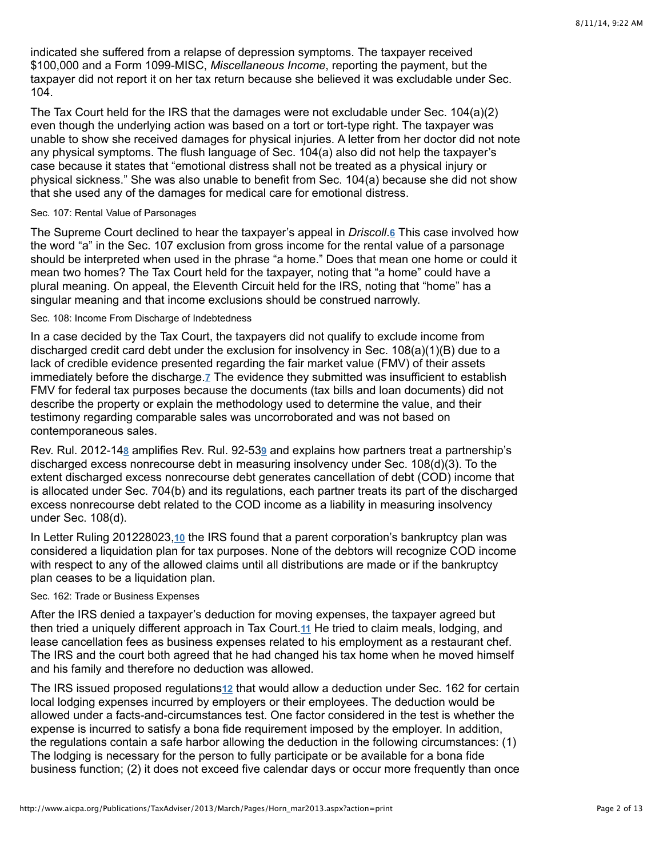indicated she suffered from a relapse of depression symptoms. The taxpayer received \$100,000 and a Form 1099-MISC, *Miscellaneous Income*, reporting the payment, but the taxpayer did not report it on her tax return because she believed it was excludable under Sec. 104.

The Tax Court held for the IRS that the damages were not excludable under Sec. 104(a)(2) even though the underlying action was based on a tort or tort-type right. The taxpayer was unable to show she received damages for physical injuries. A letter from her doctor did not note any physical symptoms. The flush language of Sec. 104(a) also did not help the taxpayer's case because it states that "emotional distress shall not be treated as a physical injury or physical sickness." She was also unable to benefit from Sec. 104(a) because she did not show that she used any of the damages for medical care for emotional distress.

#### Sec. 107: Rental Value of Parsonages

The Supreme Court declined to hear the taxpayer's appeal in *Driscoll[.](http://www.aicpa.org/Publications/TaxAdviser/2013/March/Pages/Horn_mar2013.aspx?action=print#fn_6)* 6 This case involved how the word "a" in the Sec. 107 exclusion from gross income for the rental value of a parsonage should be interpreted when used in the phrase "a home." Does that mean one home or could it mean two homes? The Tax Court held for the taxpayer, noting that "a home" could have a plural meaning. On appeal, the Eleventh Circuit held for the IRS, noting that "home" has a singular meaning and that income exclusions should be construed narrowly.

## Sec. 108: Income From Discharge of Indebtedness

In a case decided by the Tax Court, the taxpayers did not qualify to exclude income from discharged credit card debt under the exclusion for insolvency in Sec. 108(a)(1)(B) due to a lack of credible evidence presented regarding the fair market value (FMV) of their assets immediately before the discharge.<sub>Z</sub> The evidence they submitted was insufficient to establish FMV for federal tax purposes because the documents (tax bills and loan documents) did not describe the property or explain the methodology used to determine the value, and their testimony regarding comparable sales was uncorroborated and was not based on contemporaneous sales.

Rev. Rul. 2012-1[4](http://www.aicpa.org/Publications/TaxAdviser/2013/March/Pages/Horn_mar2013.aspx?action=print#fn_8)<sup>g</sup> amplifies Rev. Rul. 92-53<sup>g</sup> and explains how partners treat a partnership's discharged excess nonrecourse debt in measuring insolvency under Sec. 108(d)(3). To the extent discharged excess nonrecourse debt generates cancellation of debt (COD) income that is allocated under Sec. 704(b) and its regulations, each partner treats its part of the discharged excess nonrecourse debt related to the COD income as a liability in measuring insolvency under Sec. 108(d).

InLetter Ruling 201228023,10 the IRS found that a parent corporation's bankruptcy plan was considered a liquidation plan for tax purposes. None of the debtors will recognize COD income with respect to any of the allowed claims until all distributions are made or if the bankruptcy plan ceases to be a liquidation plan.

## Sec. 162: Trade or Business Expenses

After the IRS denied a taxpayer's deduction for moving expenses, the taxpayer agreed but thentried a uniquely different approach in Tax Court.<sup>11</sup> He tried to claim meals, lodging, and lease cancellation fees as business expenses related to his employment as a restaurant chef. The IRS and the court both agreed that he had changed his tax home when he moved himself and his family and therefore no deduction was allowed.

The IRS issued proposed regulations<u>[12](http://www.aicpa.org/Publications/TaxAdviser/2013/March/Pages/Horn_mar2013.aspx?action=print#fn_12)</u> that would allow a deduction under Sec. 162 for certain local lodging expenses incurred by employers or their employees. The deduction would be allowed under a facts-and-circumstances test. One factor considered in the test is whether the expense is incurred to satisfy a bona fide requirement imposed by the employer. In addition, the regulations contain a safe harbor allowing the deduction in the following circumstances: (1) The lodging is necessary for the person to fully participate or be available for a bona fide business function; (2) it does not exceed five calendar days or occur more frequently than once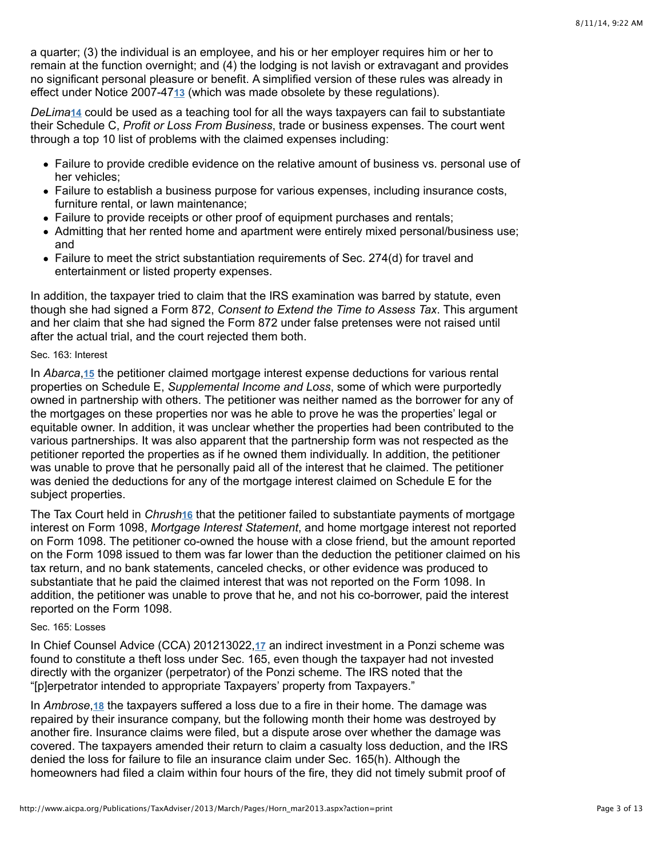a quarter; (3) the individual is an employee, and his or her employer requires him or her to remain at the function overnight; and (4) the lodging is not lavish or extravagant and provides no significant personal pleasure or benefit. A simplified version of these rules was already in effectunder Notice 2007-4713 (which was made obsolete by these regulations).

DeLima<sup>[14](http://www.aicpa.org/Publications/TaxAdviser/2013/March/Pages/Horn_mar2013.aspx?action=print#fn_14)</sup> could be used as a teaching tool for all the ways taxpayers can fail to substantiate their Schedule C, *Profit or Loss From Business*, trade or business expenses. The court went through a top 10 list of problems with the claimed expenses including:

- Failure to provide credible evidence on the relative amount of business vs. personal use of her vehicles;
- Failure to establish a business purpose for various expenses, including insurance costs, furniture rental, or lawn maintenance;
- Failure to provide receipts or other proof of equipment purchases and rentals;
- Admitting that her rented home and apartment were entirely mixed personal/business use; and
- Failure to meet the strict substantiation requirements of Sec. 274(d) for travel and entertainment or listed property expenses.

In addition, the taxpayer tried to claim that the IRS examination was barred by statute, even though she had signed a Form 872, *Consent to Extend the Time to Assess Tax*. This argument and her claim that she had signed the Form 872 under false pretenses were not raised until after the actual trial, and the court rejected them both.

## Sec. 163: Interest

In Abarca[,](http://www.aicpa.org/Publications/TaxAdviser/2013/March/Pages/Horn_mar2013.aspx?action=print#fn_15) 15 the petitioner claimed mortgage interest expense deductions for various rental properties on Schedule E, *Supplemental Income and Loss*, some of which were purportedly owned in partnership with others. The petitioner was neither named as the borrower for any of the mortgages on these properties nor was he able to prove he was the properties' legal or equitable owner. In addition, it was unclear whether the properties had been contributed to the various partnerships. It was also apparent that the partnership form was not respected as the petitioner reported the properties as if he owned them individually. In addition, the petitioner was unable to prove that he personally paid all of the interest that he claimed. The petitioner was denied the deductions for any of the mortgage interest claimed on Schedule E for the subject properties.

The Tax Court held in Chrush[16](http://www.aicpa.org/Publications/TaxAdviser/2013/March/Pages/Horn_mar2013.aspx?action=print#fn_16) that the petitioner failed to substantiate payments of mortgage interest on Form 1098, *Mortgage Interest Statement*, and home mortgage interest not reported on Form 1098. The petitioner co-owned the house with a close friend, but the amount reported on the Form 1098 issued to them was far lower than the deduction the petitioner claimed on his tax return, and no bank statements, canceled checks, or other evidence was produced to substantiate that he paid the claimed interest that was not reported on the Form 1098. In addition, the petitioner was unable to prove that he, and not his co-borrower, paid the interest reported on the Form 1098.

# Sec. 165: Losses

In Chief Counsel Advice (CCA) 201213022,17 an indirect investment in a Ponzi scheme was found to constitute a theft loss under Sec. 165, even though the taxpayer had not invested directly with the organizer (perpetrator) of the Ponzi scheme. The IRS noted that the "[p]erpetrator intended to appropriate Taxpayers' property from Taxpayers."

In Ambrose[,](http://www.aicpa.org/Publications/TaxAdviser/2013/March/Pages/Horn_mar2013.aspx?action=print#fn_18) 18 the taxpayers suffered a loss due to a fire in their home. The damage was repaired by their insurance company, but the following month their home was destroyed by another fire. Insurance claims were filed, but a dispute arose over whether the damage was covered. The taxpayers amended their return to claim a casualty loss deduction, and the IRS denied the loss for failure to file an insurance claim under Sec. 165(h). Although the homeowners had filed a claim within four hours of the fire, they did not timely submit proof of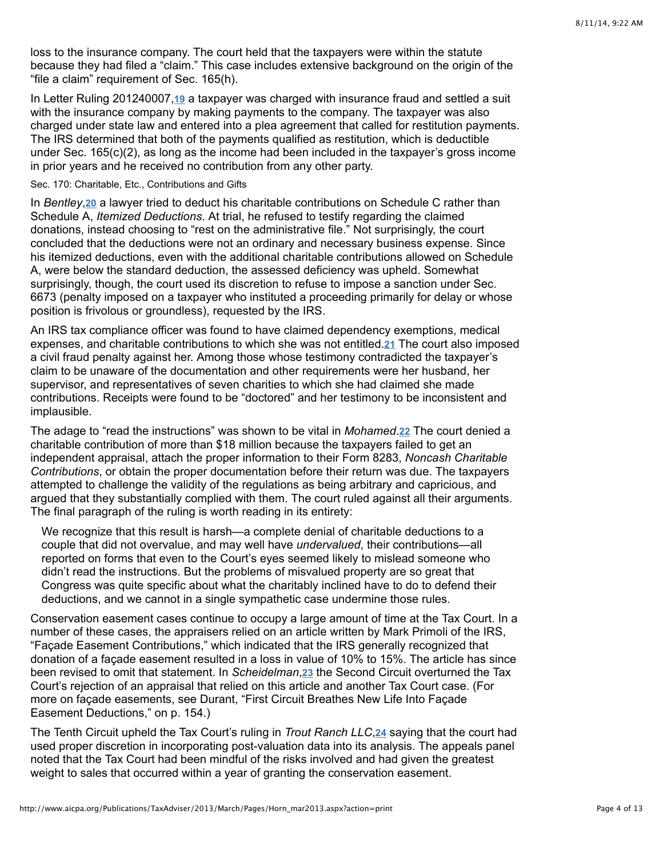loss to the insurance company. The court held that the taxpayers were within the statute because they had filed a "claim." This case includes extensive background on the origin of the "file a claim" requirement of Sec. 165(h).

InLetter Ruling 201240007,19 a taxpayer was charged with insurance fraud and settled a suit with the insurance company by making payments to the company. The taxpayer was also charged under state law and entered into a plea agreement that called for restitution payments. The IRS determined that both of the payments qualified as restitution, which is deductible under Sec. 165(c)(2), as long as the income had been included in the taxpayer's gross income in prior years and he received no contribution from any other party.

### Sec. 170: Charitable, Etc., Contributions and Gifts

In *Bentley*, 20 a lawyer tried to deduct his charitable contributions on Schedule C rather than Schedule A, *Itemized Deductions*. At trial, he refused to testify regarding the claimed donations, instead choosing to "rest on the administrative file." Not surprisingly, the court concluded that the deductions were not an ordinary and necessary business expense. Since his itemized deductions, even with the additional charitable contributions allowed on Schedule A, were below the standard deduction, the assessed deficiency was upheld. Somewhat surprisingly, though, the court used its discretion to refuse to impose a sanction under Sec. 6673 (penalty imposed on a taxpayer who instituted a proceeding primarily for delay or whose position is frivolous or groundless), requested by the IRS.

An IRS tax compliance officer was found to have claimed dependency exemptions, medical expenses, and charitable contributions to which she was not entitled[.](http://www.aicpa.org/Publications/TaxAdviser/2013/March/Pages/Horn_mar2013.aspx?action=print#fn_21)21 The court also imposed a civil fraud penalty against her. Among those whose testimony contradicted the taxpayer's claim to be unaware of the documentation and other requirements were her husband, her supervisor, and representatives of seven charities to which she had claimed she made contributions. Receipts were found to be "doctored" and her testimony to be inconsistent and implausible.

The adage to "read the instructions" was shown to be vital in *Mohamed.* 22 The court denied a charitable contribution of more than \$18 million because the taxpayers failed to get an independent appraisal, attach the proper information to their Form 8283, *Noncash Charitable Contributions*, or obtain the proper documentation before their return was due. The taxpayers attempted to challenge the validity of the regulations as being arbitrary and capricious, and argued that they substantially complied with them. The court ruled against all their arguments. The final paragraph of the ruling is worth reading in its entirety:

We recognize that this result is harsh—a complete denial of charitable deductions to a couple that did not overvalue, and may well have *undervalued*, their contributions—all reported on forms that even to the Court's eyes seemed likely to mislead someone who didn't read the instructions. But the problems of misvalued property are so great that Congress was quite specific about what the charitably inclined have to do to defend their deductions, and we cannot in a single sympathetic case undermine those rules.

Conservation easement cases continue to occupy a large amount of time at the Tax Court. In a number of these cases, the appraisers relied on an article written by Mark Primoli of the IRS, "Façade Easement Contributions," which indicated that the IRS generally recognized that donation of a façade easement resulted in a loss in value of 10% to 15%. The article has since been revised to omit that statement. In Scheidelman[,](http://www.aicpa.org/Publications/TaxAdviser/2013/March/Pages/Horn_mar2013.aspx?action=print#fn_23) 23 the Second Circuit overturned the Tax Court's rejection of an appraisal that relied on this article and another Tax Court case. (For more on façade easements, see Durant, "First Circuit Breathes New Life Into Façade Easement Deductions," on p. 154.)

TheTenth Circuit upheld the Tax Court's ruling in *Trout Ranch LLC*, 24 saying that the court had used proper discretion in incorporating post-valuation data into its analysis. The appeals panel noted that the Tax Court had been mindful of the risks involved and had given the greatest weight to sales that occurred within a year of granting the conservation easement.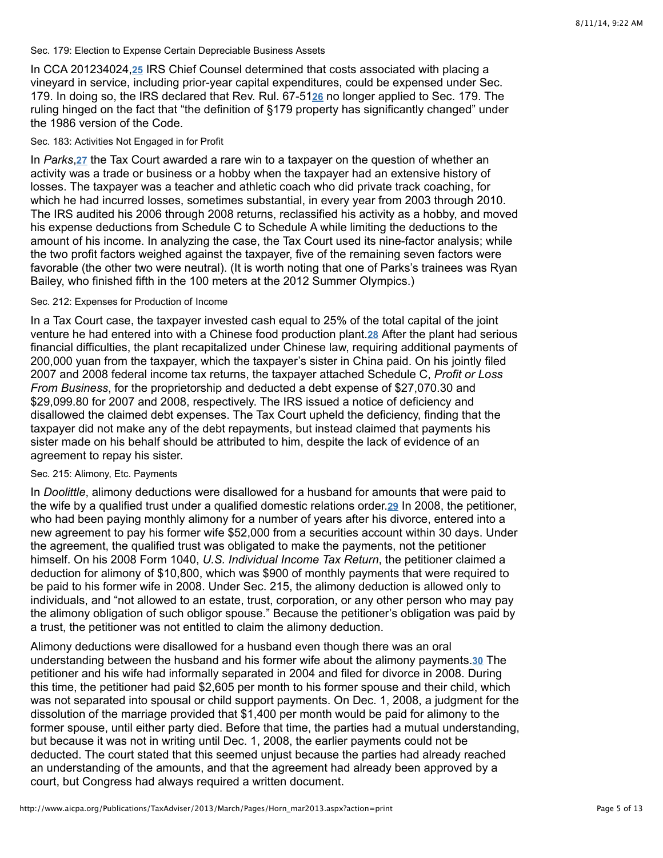#### Sec. 179: Election to Expense Certain Depreciable Business Assets

In CCA 201234024,25 IRS Chief Counsel determined that costs associated with placing a vineyard in service, including prior-year capital expenditures, could be expensed under Sec. 179. In doing so, the IRS declared that Rev. Rul. 67-5126 no longer applied to Sec. 179. The ruling hinged on the fact that "the definition of §179 property has significantly changed" under the 1986 version of the Code.

#### Sec. 183: Activities Not Engaged in for Profit

In Parks,<sup>27</sup> the Tax Court awarded a rare win to a taxpayer on the question of whether an activity was a trade or business or a hobby when the taxpayer had an extensive history of losses. The taxpayer was a teacher and athletic coach who did private track coaching, for which he had incurred losses, sometimes substantial, in every year from 2003 through 2010. The IRS audited his 2006 through 2008 returns, reclassified his activity as a hobby, and moved his expense deductions from Schedule C to Schedule A while limiting the deductions to the amount of his income. In analyzing the case, the Tax Court used its nine-factor analysis; while the two profit factors weighed against the taxpayer, five of the remaining seven factors were favorable (the other two were neutral). (It is worth noting that one of Parks's trainees was Ryan Bailey, who finished fifth in the 100 meters at the 2012 Summer Olympics.)

## Sec. 212: Expenses for Production of Income

In a Tax Court case, the taxpayer invested cash equal to 25% of the total capital of the joint venture he had entered into with a Chinese food production plant.28 After the plant had serious financial difficulties, the plant recapitalized under Chinese law, requiring additional payments of 200,000 yuan from the taxpayer, which the taxpayer's sister in China paid. On his jointly filed 2007 and 2008 federal income tax returns, the taxpayer attached Schedule C, *Profit or Loss From Business*, for the proprietorship and deducted a debt expense of \$27,070.30 and \$29,099.80 for 2007 and 2008, respectively. The IRS issued a notice of deficiency and disallowed the claimed debt expenses. The Tax Court upheld the deficiency, finding that the taxpayer did not make any of the debt repayments, but instead claimed that payments his sister made on his behalf should be attributed to him, despite the lack of evidence of an agreement to repay his sister.

## Sec. 215: Alimony, Etc. Payments

In *Doolittle*, alimony deductions were disallowed for a husband for amounts that were paid to the wife by a qualified trust under a qualified domestic relations order[.](http://www.aicpa.org/Publications/TaxAdviser/2013/March/Pages/Horn_mar2013.aspx?action=print#fn_29)<sup>29</sup> In 2008, the petitioner, who had been paying monthly alimony for a number of years after his divorce, entered into a new agreement to pay his former wife \$52,000 from a securities account within 30 days. Under the agreement, the qualified trust was obligated to make the payments, not the petitioner himself. On his 2008 Form 1040, *U.S. Individual Income Tax Return*, the petitioner claimed a deduction for alimony of \$10,800, which was \$900 of monthly payments that were required to be paid to his former wife in 2008. Under Sec. 215, the alimony deduction is allowed only to individuals, and "not allowed to an estate, trust, corporation, or any other person who may pay the alimony obligation of such obligor spouse." Because the petitioner's obligation was paid by a trust, the petitioner was not entitled to claim the alimony deduction.

Alimony deductions were disallowed for a husband even though there was an oral understanding between the husband and his former wife about the alimony payments.<sup>30</sup> The petitioner and his wife had informally separated in 2004 and filed for divorce in 2008. During this time, the petitioner had paid \$2,605 per month to his former spouse and their child, which was not separated into spousal or child support payments. On Dec. 1, 2008, a judgment for the dissolution of the marriage provided that \$1,400 per month would be paid for alimony to the former spouse, until either party died. Before that time, the parties had a mutual understanding, but because it was not in writing until Dec. 1, 2008, the earlier payments could not be deducted. The court stated that this seemed unjust because the parties had already reached an understanding of the amounts, and that the agreement had already been approved by a court, but Congress had always required a written document.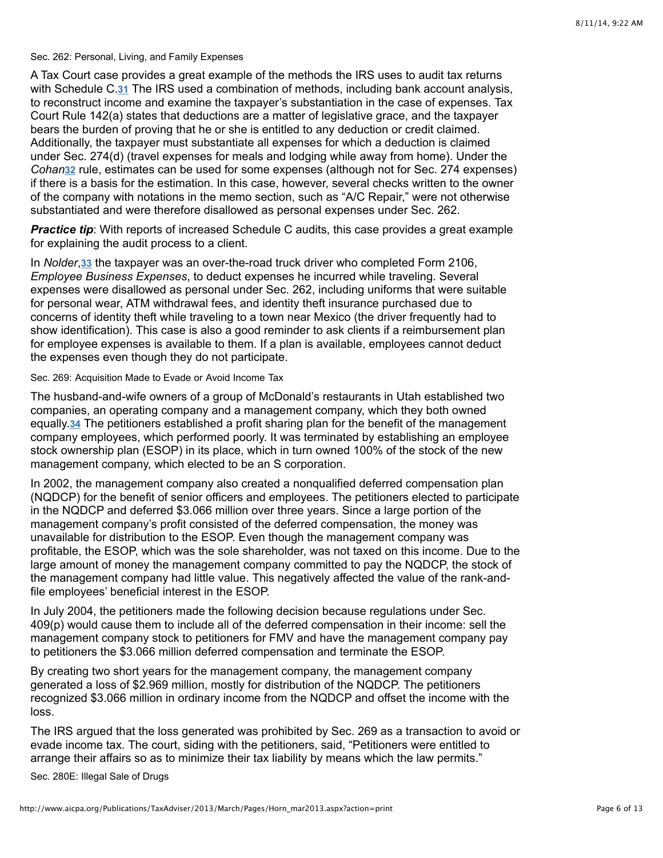Sec. 262: Personal, Living, and Family Expenses

A Tax Court case provides a great example of the methods the IRS uses to audit tax returns withSchedule C.31 The IRS used a combination of methods, including bank account analysis, to reconstruct income and examine the taxpayer's substantiation in the case of expenses. Tax Court Rule 142(a) states that deductions are a matter of legislative grace, and the taxpayer bears the burden of proving that he or she is entitled to any deduction or credit claimed. Additionally, the taxpayer must substantiate all expenses for which a deduction is claimed under Sec. 274(d) (travel expenses for meals and lodging while away from home). Under the Cohan<sub>[32](http://www.aicpa.org/Publications/TaxAdviser/2013/March/Pages/Horn_mar2013.aspx?action=print#fn_32)</sub> rule, estimates can be used for some expenses (although not for Sec. 274 expenses) if there is a basis for the estimation. In this case, however, several checks written to the owner of the company with notations in the memo section, such as "A/C Repair," were not otherwise substantiated and were therefore disallowed as personal expenses under Sec. 262.

**Practice tip:** With reports of increased Schedule C audits, this case provides a great example for explaining the audit process to a client.

In*Nolder*, 33 the taxpayer was an over-the-road truck driver who completed Form 2106, *Employee Business Expenses*, to deduct expenses he incurred while traveling. Several expenses were disallowed as personal under Sec. 262, including uniforms that were suitable for personal wear, ATM withdrawal fees, and identity theft insurance purchased due to concerns of identity theft while traveling to a town near Mexico (the driver frequently had to show identification). This case is also a good reminder to ask clients if a reimbursement plan for employee expenses is available to them. If a plan is available, employees cannot deduct the expenses even though they do not participate.

Sec. 269: Acquisition Made to Evade or Avoid Income Tax

The husband-and-wife owners of a group of McDonald's restaurants in Utah established two companies, an operating company and a management company, which they both owned equally.<sup>34</sup> The petitioners established a profit sharing plan for the benefit of the management company employees, which performed poorly. It was terminated by establishing an employee stock ownership plan (ESOP) in its place, which in turn owned 100% of the stock of the new management company, which elected to be an S corporation.

In 2002, the management company also created a nonqualified deferred compensation plan (NQDCP) for the benefit of senior officers and employees. The petitioners elected to participate in the NQDCP and deferred \$3.066 million over three years. Since a large portion of the management company's profit consisted of the deferred compensation, the money was unavailable for distribution to the ESOP. Even though the management company was profitable, the ESOP, which was the sole shareholder, was not taxed on this income. Due to the large amount of money the management company committed to pay the NQDCP, the stock of the management company had little value. This negatively affected the value of the rank-andfile employees' beneficial interest in the ESOP.

In July 2004, the petitioners made the following decision because regulations under Sec. 409(p) would cause them to include all of the deferred compensation in their income: sell the management company stock to petitioners for FMV and have the management company pay to petitioners the \$3.066 million deferred compensation and terminate the ESOP.

By creating two short years for the management company, the management company generated a loss of \$2.969 million, mostly for distribution of the NQDCP. The petitioners recognized \$3.066 million in ordinary income from the NQDCP and offset the income with the loss.

The IRS argued that the loss generated was prohibited by Sec. 269 as a transaction to avoid or evade income tax. The court, siding with the petitioners, said, "Petitioners were entitled to arrange their affairs so as to minimize their tax liability by means which the law permits."

Sec. 280E: Illegal Sale of Drugs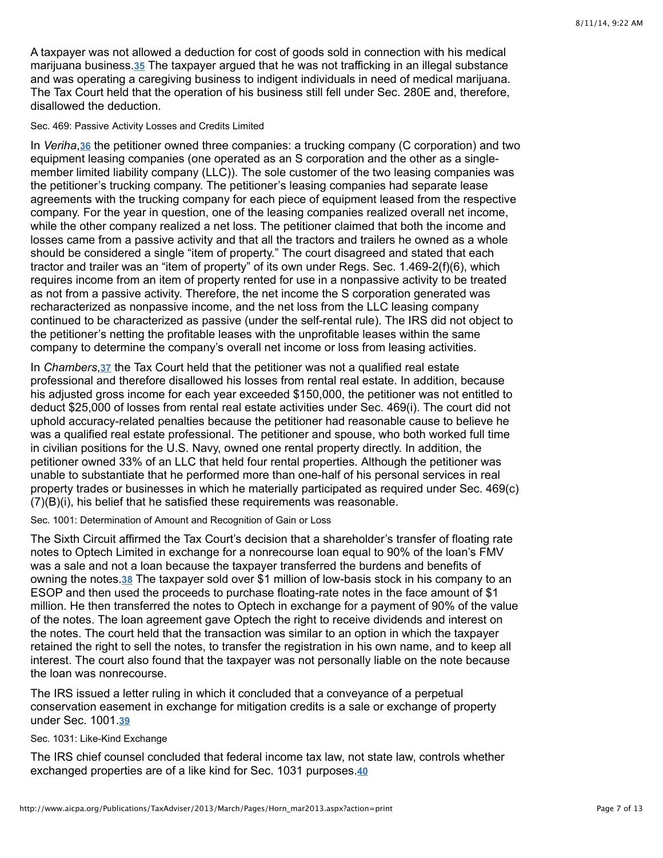A taxpayer was not allowed a deduction for cost of goods sold in connection with his medical marijuana business.35 The taxpayer argued that he was not trafficking in an illegal substance and was operating a caregiving business to indigent individuals in need of medical marijuana. The Tax Court held that the operation of his business still fell under Sec. 280E and, therefore, disallowed the deduction.

Sec. 469: Passive Activity Losses and Credits Limited

In Veriha[,](http://www.aicpa.org/Publications/TaxAdviser/2013/March/Pages/Horn_mar2013.aspx?action=print#fn_36) 36 the petitioner owned three companies: a trucking company (C corporation) and two equipment leasing companies (one operated as an S corporation and the other as a singlemember limited liability company (LLC)). The sole customer of the two leasing companies was the petitioner's trucking company. The petitioner's leasing companies had separate lease agreements with the trucking company for each piece of equipment leased from the respective company. For the year in question, one of the leasing companies realized overall net income, while the other company realized a net loss. The petitioner claimed that both the income and losses came from a passive activity and that all the tractors and trailers he owned as a whole should be considered a single "item of property." The court disagreed and stated that each tractor and trailer was an "item of property" of its own under Regs. Sec. 1.469-2(f)(6), which requires income from an item of property rented for use in a nonpassive activity to be treated as not from a passive activity. Therefore, the net income the S corporation generated was recharacterized as nonpassive income, and the net loss from the LLC leasing company continued to be characterized as passive (under the self-rental rule). The IRS did not object to the petitioner's netting the profitable leases with the unprofitable leases within the same company to determine the company's overall net income or loss from leasing activities.

In*Chambers*, 37 the Tax Court held that the petitioner was not a qualified real estate professional and therefore disallowed his losses from rental real estate. In addition, because his adjusted gross income for each year exceeded \$150,000, the petitioner was not entitled to deduct \$25,000 of losses from rental real estate activities under Sec. 469(i). The court did not uphold accuracy-related penalties because the petitioner had reasonable cause to believe he was a qualified real estate professional. The petitioner and spouse, who both worked full time in civilian positions for the U.S. Navy, owned one rental property directly. In addition, the petitioner owned 33% of an LLC that held four rental properties. Although the petitioner was unable to substantiate that he performed more than one-half of his personal services in real property trades or businesses in which he materially participated as required under Sec. 469(c) (7)(B)(i), his belief that he satisfied these requirements was reasonable.

Sec. 1001: Determination of Amount and Recognition of Gain or Loss

The Sixth Circuit affirmed the Tax Court's decision that a shareholder's transfer of floating rate notes to Optech Limited in exchange for a nonrecourse loan equal to 90% of the loan's FMV was a sale and not a loan because the taxpayer transferred the burdens and benefits of owning the notes.38 The taxpayer sold over \$1 million of low-basis stock in his company to an ESOP and then used the proceeds to purchase floating-rate notes in the face amount of \$1 million. He then transferred the notes to Optech in exchange for a payment of 90% of the value of the notes. The loan agreement gave Optech the right to receive dividends and interest on the notes. The court held that the transaction was similar to an option in which the taxpayer retained the right to sell the notes, to transfer the registration in his own name, and to keep all interest. The court also found that the taxpayer was not personally liable on the note because the loan was nonrecourse.

The IRS issued a letter ruling in which it concluded that a conveyance of a perpetual conservation easement in exchange for mitigation credits is a sale or exchange of property under Sec. 1001. **[39](http://www.aicpa.org/Publications/TaxAdviser/2013/March/Pages/Horn_mar2013.aspx?action=print#fn_39)**

Sec. 1031: Like-Kind Exchange

The IRS chief counsel concluded that federal income tax law, not state law, controls whether exchanged properties are of a like kind for Sec. 1031 purposes. **[40](http://www.aicpa.org/Publications/TaxAdviser/2013/March/Pages/Horn_mar2013.aspx?action=print#fn_40)**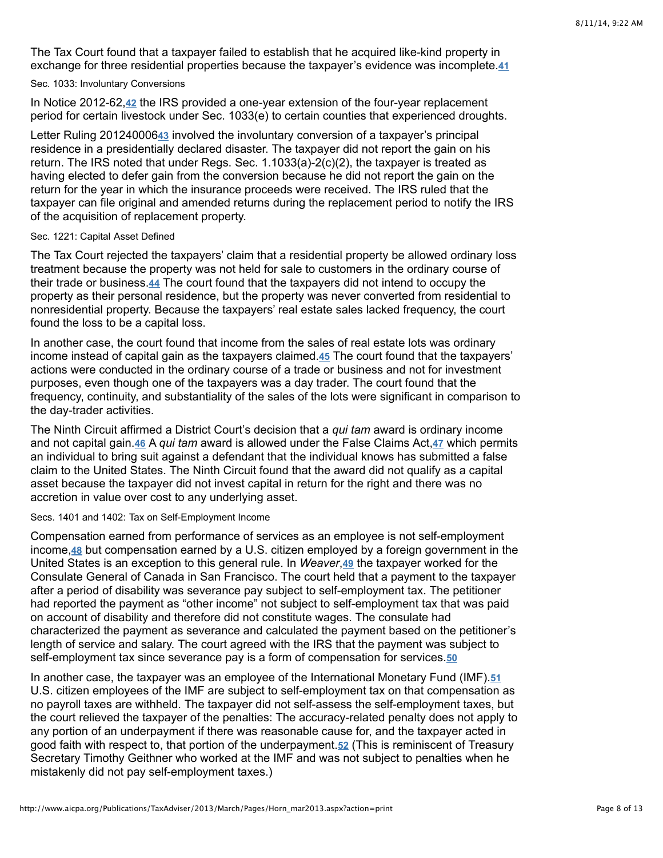The Tax Court found that a taxpayer failed to establish that he acquired like-kind property in exchange for three residential properties because the taxpayer's evidence was incomplete. **[41](http://www.aicpa.org/Publications/TaxAdviser/2013/March/Pages/Horn_mar2013.aspx?action=print#fn_41)**

#### Sec. 1033: Involuntary Conversions

In Notice 2012-62,42 the IRS provided a one-year extension of the four-year replacement period for certain livestock under Sec. 1033(e) to certain counties that experienced droughts.

Letter Ruling 20124000643 involved the involuntary conversion of a taxpayer's principal residence in a presidentially declared disaster. The taxpayer did not report the gain on his return. The IRS noted that under Regs. Sec.  $1.1033(a)-2(c)(2)$ , the taxpayer is treated as having elected to defer gain from the conversion because he did not report the gain on the return for the year in which the insurance proceeds were received. The IRS ruled that the taxpayer can file original and amended returns during the replacement period to notify the IRS of the acquisition of replacement property.

## Sec. 1221: Capital Asset Defined

The Tax Court rejected the taxpayers' claim that a residential property be allowed ordinary loss treatment because the property was not held for sale to customers in the ordinary course of their trade or business.**44** The court found that the taxpayers did not intend to occupy the property as their personal residence, but the property was never converted from residential to nonresidential property. Because the taxpayers' real estate sales lacked frequency, the court found the loss to be a capital loss.

In another case, the court found that income from the sales of real estate lots was ordinary incomeinstead of capital gain as the taxpayers claimed. **45** The court found that the taxpayers' actions were conducted in the ordinary course of a trade or business and not for investment purposes, even though one of the taxpayers was a day trader. The court found that the frequency, continuity, and substantiality of the sales of the lots were significant in comparison to the day-trader activities.

The Ninth Circuit affirmed a District Court's decision that a *qui tam* award is ordinary income and not capital gain[.](http://www.aicpa.org/Publications/TaxAdviser/2013/March/Pages/Horn_mar2013.aspx?action=print#fn_46) 46 A qui tam award is allowed under the False Claims Act[,](http://www.aicpa.org/Publications/TaxAdviser/2013/March/Pages/Horn_mar2013.aspx?action=print#fn_47) 47 which permits an individual to bring suit against a defendant that the individual knows has submitted a false claim to the United States. The Ninth Circuit found that the award did not qualify as a capital asset because the taxpayer did not invest capital in return for the right and there was no accretion in value over cost to any underlying asset.

# Secs. 1401 and 1402: Tax on Self-Employment Income

Compensation earned from performance of services as an employee is not self-employment income,<u>48</u> but compensation earned by a U.S. citizen employed by a foreign government in the United States is an exception to this general rule. In Weaver[,](http://www.aicpa.org/Publications/TaxAdviser/2013/March/Pages/Horn_mar2013.aspx?action=print#fn_49) 49 the taxpayer worked for the Consulate General of Canada in San Francisco. The court held that a payment to the taxpayer after a period of disability was severance pay subject to self-employment tax. The petitioner had reported the payment as "other income" not subject to self-employment tax that was paid on account of disability and therefore did not constitute wages. The consulate had characterized the payment as severance and calculated the payment based on the petitioner's length of service and salary. The court agreed with the IRS that the payment was subject to self-employment tax since severance pay is a form of compensation for services. **[50](http://www.aicpa.org/Publications/TaxAdviser/2013/March/Pages/Horn_mar2013.aspx?action=print#fn_50)**

In another case, the taxpayer was an employee of the International Monetary Fund (IMF). **[51](http://www.aicpa.org/Publications/TaxAdviser/2013/March/Pages/Horn_mar2013.aspx?action=print#fn_51)** U.S. citizen employees of the IMF are subject to self-employment tax on that compensation as no payroll taxes are withheld. The taxpayer did not self-assess the self-employment taxes, but the court relieved the taxpayer of the penalties: The accuracy-related penalty does not apply to any portion of an underpayment if there was reasonable cause for, and the taxpayer acted in good faith with respect to, that portion of the underpayment[.](http://www.aicpa.org/Publications/TaxAdviser/2013/March/Pages/Horn_mar2013.aspx?action=print#fn_52)52 (This is reminiscent of Treasury Secretary Timothy Geithner who worked at the IMF and was not subject to penalties when he mistakenly did not pay self-employment taxes.)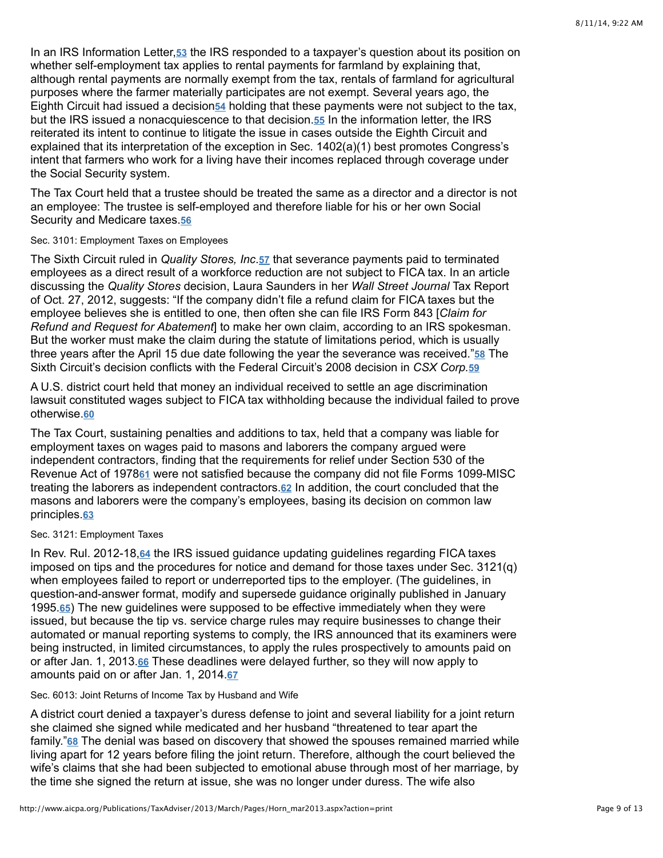In an IRS Information Letter,53 the IRS responded to a taxpayer's question about its position on whether self-employment tax applies to rental payments for farmland by explaining that, although rental payments are normally exempt from the tax, rentals of farmland for agricultural purposes where the farmer materially participates are not exempt. Several years ago, the Eighth Circuit had issued a decision<sup>54</sup> holding that these payments were not subject to the tax, but the IRS issued a nonacquiescence to that decision.**55** In the information letter, the IRS reiterated its intent to continue to litigate the issue in cases outside the Eighth Circuit and explained that its interpretation of the exception in Sec. 1402(a)(1) best promotes Congress's intent that farmers who work for a living have their incomes replaced through coverage under the Social Security system.

The Tax Court held that a trustee should be treated the same as a director and a director is not an employee: The trustee is self-employed and therefore liable for his or her own Social Security and Medicare taxes. **[56](http://www.aicpa.org/Publications/TaxAdviser/2013/March/Pages/Horn_mar2013.aspx?action=print#fn_56)**

## Sec. 3101: Employment Taxes on Employees

The Sixth Circuit ruled in Quality Stores, Inc[.](http://www.aicpa.org/Publications/TaxAdviser/2013/March/Pages/Horn_mar2013.aspx?action=print#fn_57)57 that severance payments paid to terminated employees as a direct result of a workforce reduction are not subject to FICA tax. In an article discussing the *Quality Stores* decision, Laura Saunders in her *Wall Street Journal* Tax Report of Oct. 27, 2012, suggests: "If the company didn't file a refund claim for FICA taxes but the employee believes she is entitled to one, then often she can file IRS Form 843 [*Claim for Refund and Request for Abatement*] to make her own claim, according to an IRS spokesman. But the worker must make the claim during the statute of limitations period, which is usually three years after the April 15 due date following the year the severance was received."**58** The Sixth Circuit's decision conflicts with the Federal Circuit's 2008 decision in *CSX Corp.* **[59](http://www.aicpa.org/Publications/TaxAdviser/2013/March/Pages/Horn_mar2013.aspx?action=print#fn_59)**

A U.S. district court held that money an individual received to settle an age discrimination lawsuit constituted wages subject to FICA tax withholding because the individual failed to prove otherwise. **[60](http://www.aicpa.org/Publications/TaxAdviser/2013/March/Pages/Horn_mar2013.aspx?action=print#fn_60)**

The Tax Court, sustaining penalties and additions to tax, held that a company was liable for employment taxes on wages paid to masons and laborers the company argued were independent contractors, finding that the requirements for relief under Section 530 of the Revenue Act of 197861 were not satisfied because the company did not file Forms 1099-MISC treating the laborers as independent contractors.<sup>62</sup> In addition, the court concluded that the masons and laborers were the company's employees, basing its decision on common law principles. **[63](http://www.aicpa.org/Publications/TaxAdviser/2013/March/Pages/Horn_mar2013.aspx?action=print#fn_63)**

#### Sec. 3121: Employment Taxes

In Rev. Rul. 2012-18,64 the IRS issued guidance updating guidelines regarding FICA taxes imposed on tips and the procedures for notice and demand for those taxes under Sec. 3121(q) when employees failed to report or underreported tips to the employer. (The guidelines, in question-and-answer format, modify and supersede guidance originally published in January 1995.[65](http://www.aicpa.org/Publications/TaxAdviser/2013/March/Pages/Horn_mar2013.aspx?action=print#fn_65)) The new guidelines were supposed to be effective immediately when they were issued, but because the tip vs. service charge rules may require businesses to change their automated or manual reporting systems to comply, the IRS announced that its examiners were being instructed, in limited circumstances, to apply the rules prospectively to amounts paid on or after Jan[.](http://www.aicpa.org/Publications/TaxAdviser/2013/March/Pages/Horn_mar2013.aspx?action=print#fn_66) 1, 2013.66 These deadlines were delayed further, so they will now apply to amounts paid on or after Jan. 1, 2014. **[67](http://www.aicpa.org/Publications/TaxAdviser/2013/March/Pages/Horn_mar2013.aspx?action=print#fn_67)**

Sec. 6013: Joint Returns of Income Tax by Husband and Wife

A district court denied a taxpayer's duress defense to joint and several liability for a joint return she claimed she signed while medicated and her husband "threatened to tear apart the family.["](http://www.aicpa.org/Publications/TaxAdviser/2013/March/Pages/Horn_mar2013.aspx?action=print#fn_68)**68** The denial was based on discovery that showed the spouses remained married while living apart for 12 years before filing the joint return. Therefore, although the court believed the wife's claims that she had been subjected to emotional abuse through most of her marriage, by the time she signed the return at issue, she was no longer under duress. The wife also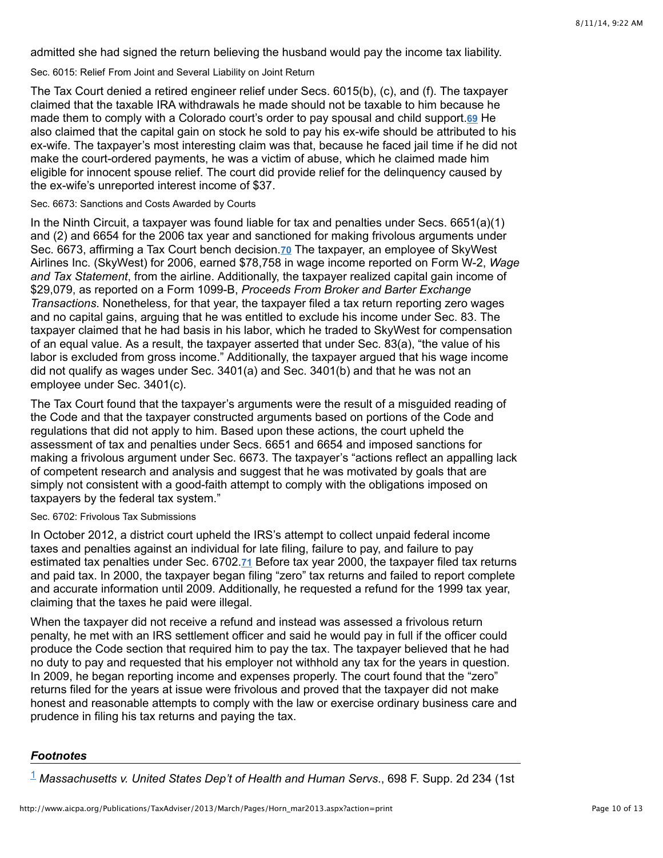admitted she had signed the return believing the husband would pay the income tax liability.

Sec. 6015: Relief From Joint and Several Liability on Joint Return

The Tax Court denied a retired engineer relief under Secs. 6015(b), (c), and (f). The taxpayer claimed that the taxable IRA withdrawals he made should not be taxable to him because he made them to comply with a Colorado court's order to pay spousal and child support.<sup>69</sup> He also claimed that the capital gain on stock he sold to pay his ex-wife should be attributed to his ex-wife. The taxpayer's most interesting claim was that, because he faced jail time if he did not make the court-ordered payments, he was a victim of abuse, which he claimed made him eligible for innocent spouse relief. The court did provide relief for the delinquency caused by the ex-wife's unreported interest income of \$37.

# Sec. 6673: Sanctions and Costs Awarded by Courts

In the Ninth Circuit, a taxpayer was found liable for tax and penalties under Secs. 6651(a)(1) and (2) and 6654 for the 2006 tax year and sanctioned for making frivolous arguments under Sec[.](http://www.aicpa.org/Publications/TaxAdviser/2013/March/Pages/Horn_mar2013.aspx?action=print#fn_70) 6673, affirming a Tax Court bench decision.**70** The taxpayer, an employee of SkyWest Airlines Inc. (SkyWest) for 2006, earned \$78,758 in wage income reported on Form W-2, *Wage and Tax Statement*, from the airline. Additionally, the taxpayer realized capital gain income of \$29,079, as reported on a Form 1099-B, *Proceeds From Broker and Barter Exchange Transactions*. Nonetheless, for that year, the taxpayer filed a tax return reporting zero wages and no capital gains, arguing that he was entitled to exclude his income under Sec. 83. The taxpayer claimed that he had basis in his labor, which he traded to SkyWest for compensation of an equal value. As a result, the taxpayer asserted that under Sec. 83(a), "the value of his labor is excluded from gross income." Additionally, the taxpayer argued that his wage income did not qualify as wages under Sec. 3401(a) and Sec. 3401(b) and that he was not an employee under Sec. 3401(c).

The Tax Court found that the taxpayer's arguments were the result of a misguided reading of the Code and that the taxpayer constructed arguments based on portions of the Code and regulations that did not apply to him. Based upon these actions, the court upheld the assessment of tax and penalties under Secs. 6651 and 6654 and imposed sanctions for making a frivolous argument under Sec. 6673. The taxpayer's "actions reflect an appalling lack of competent research and analysis and suggest that he was motivated by goals that are simply not consistent with a good-faith attempt to comply with the obligations imposed on taxpayers by the federal tax system."

# Sec. 6702: Frivolous Tax Submissions

In October 2012, a district court upheld the IRS's attempt to collect unpaid federal income taxes and penalties against an individual for late filing, failure to pay, and failure to pay estimated tax penalties under Sec[.](http://www.aicpa.org/Publications/TaxAdviser/2013/March/Pages/Horn_mar2013.aspx?action=print#fn_71) 6702.71 Before tax year 2000, the taxpayer filed tax returns and paid tax. In 2000, the taxpayer began filing "zero" tax returns and failed to report complete and accurate information until 2009. Additionally, he requested a refund for the 1999 tax year, claiming that the taxes he paid were illegal.

When the taxpayer did not receive a refund and instead was assessed a frivolous return penalty, he met with an IRS settlement officer and said he would pay in full if the officer could produce the Code section that required him to pay the tax. The taxpayer believed that he had no duty to pay and requested that his employer not withhold any tax for the years in question. In 2009, he began reporting income and expenses properly. The court found that the "zero" returns filed for the years at issue were frivolous and proved that the taxpayer did not make honest and reasonable attempts to comply with the law or exercise ordinary business care and prudence in filing his tax returns and paying the tax.

# *Footnotes*

*Massachusetts v. United States Dep't of Health and Human Servs*., 698 F. Supp. 2d 234 (1st [1](http://www.aicpa.org/Publications/TaxAdviser/2013/March/Pages/Horn_mar2013.aspx?action=print#fnref_1)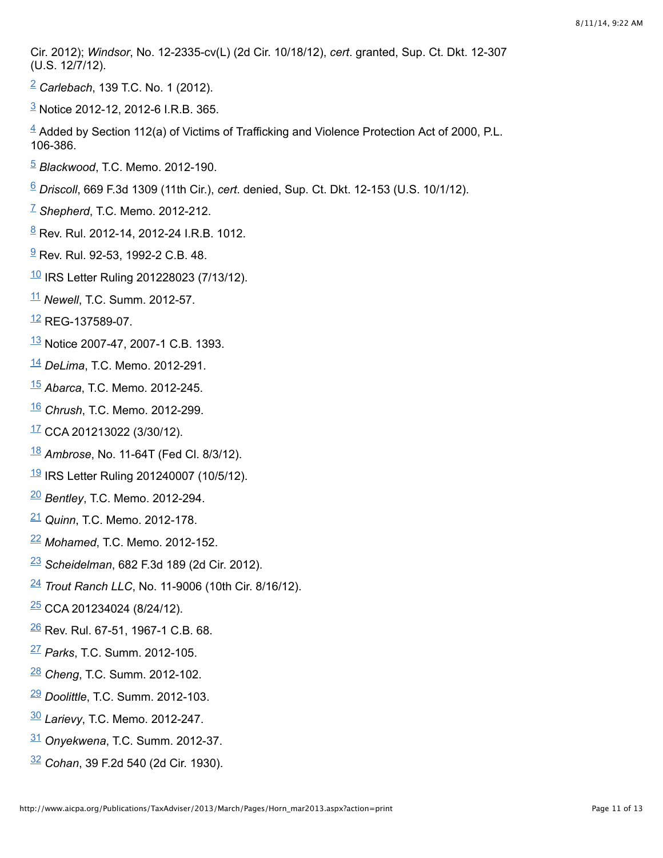Cir. 2012); *Windsor*, No. 12-2335-cv(L) (2d Cir. 10/18/12), *cert*. granted, Sup. Ct. Dkt. 12-307 (U.S. 12/7/12).

- *Carlebach*, 139 T.C. No. 1 (2012).
- <sup>[3](http://www.aicpa.org/Publications/TaxAdviser/2013/March/Pages/Horn_mar2013.aspx?action=print#fnref_3)</sup> Notice 2012-12, 2012-6 I.R.B. 365.
- Added by Section 112(a) of Victims of Trafficking and Violence Protection Act of 2000, P.L. 106-386.
- *Blackwood*, T.C. Memo. 2012-190.
- *Driscoll*, 669 F.3d 1309 (11th Cir.), *cert*. denied, Sup. Ct. Dkt. 12-153 (U.S. 10/1/12).
- <sup>[7](http://www.aicpa.org/Publications/TaxAdviser/2013/March/Pages/Horn_mar2013.aspx?action=print#fnref_7)</sup> Shepherd, T.C. Memo. 2012-212.
- $\frac{8}{1}$  $\frac{8}{1}$  $\frac{8}{1}$  Rev. Rul. 2012-14, 2012-24 I.R.B. 1012.
- $\frac{9}{2}$  $\frac{9}{2}$  $\frac{9}{2}$  Rev. Rul. 92-53, 1992-2 C.B. 48.
- IRS Letter Ruling 201228023 (7/13/12).
- *Newell*, T.C. Summ. 2012-57.
- <sup>[12](http://www.aicpa.org/Publications/TaxAdviser/2013/March/Pages/Horn_mar2013.aspx?action=print#fnref_12)</sup> REG-137589-07.
- Notice 2007-47, 2007-1 C.B. 1393.
- *DeLima*, T.C. Memo. 2012-291.
- *Abarca*, T.C. Memo. 2012-245.
- *Chrush*, T.C. Memo. 2012-299.
- CCA 201213022 (3/30/12).
- Ambrose, No. 11-64T (Fed Cl. 8/3/12).
- $\frac{19}{18}$  $\frac{19}{18}$  $\frac{19}{18}$  IRS Letter Ruling 201240007 (10/5/12).
- *Bentley*, T.C. Memo. 2012-294.
- <sup>[21](http://www.aicpa.org/Publications/TaxAdviser/2013/March/Pages/Horn_mar2013.aspx?action=print#fnref_21)</sup> Quinn, T.C. Memo. 2012-178.
- Mohamed, T.C. Memo. 2012-152.
- *Scheidelman*, 682 F.3d 189 (2d Cir. 2012).
- *Trout Ranch LLC*, No. 11-9006 (10th Cir. 8/16/12).
- <sup>[25](http://www.aicpa.org/Publications/TaxAdviser/2013/March/Pages/Horn_mar2013.aspx?action=print#fnref_25)</sup> CCA 201234024 (8/24/12).
- <sup>[26](http://www.aicpa.org/Publications/TaxAdviser/2013/March/Pages/Horn_mar2013.aspx?action=print#fnref_26)</sup> Rev. Rul. 67-51, 1967-1 C.B. 68.
- *Parks*, T.C. Summ. 2012-105.
- *Cheng*, T.C. Summ. 2012-102.
- *Doolittle*, T.C. Summ. 2012-103.
- *Larievy*, T.C. Memo. 2012-247.
- *Onyekwena*, T.C. Summ. 2012-37.
- *Cohan*, 39 F.2d 540 (2d Cir. 1930).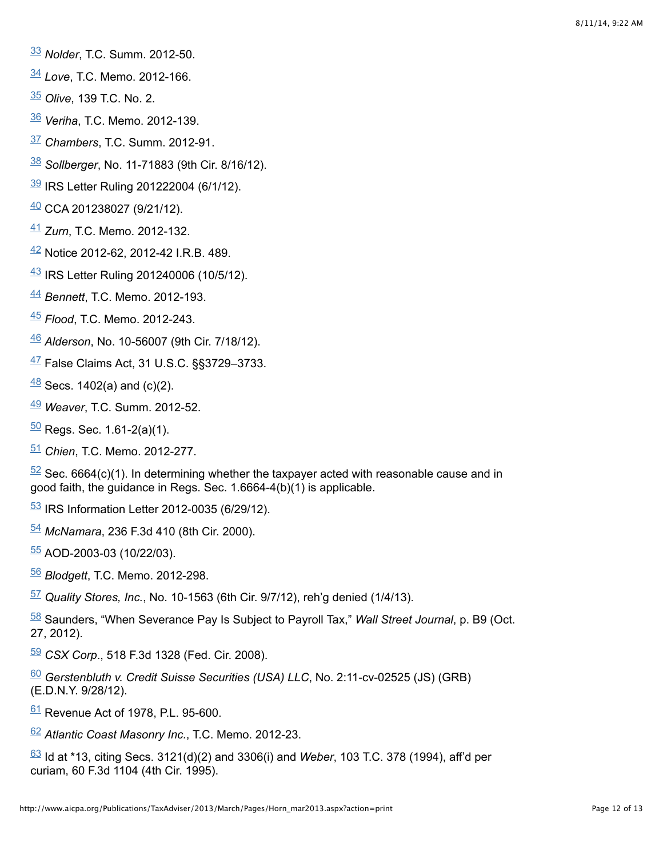- *Nolder*, T.C. Summ. 2012-50.
- *Love*, T.C. Memo. 2012-166.
- *Olive*, 139 T.C. No. 2.
- *Veriha*, T.C. Memo. 2012-139.
- *Chambers*, T.C. Summ. 2012-91.
- *Sollberger*, No. 11-71883 (9th Cir. 8/16/12).
- $\frac{39}{18}$  $\frac{39}{18}$  $\frac{39}{18}$  IRS Letter Ruling 201222004 (6/1/12).
- <sup>[40](http://www.aicpa.org/Publications/TaxAdviser/2013/March/Pages/Horn_mar2013.aspx?action=print#fnref_40)</sup> CCA 201238027 (9/21/12).
- *Zurn*, T.C. Memo. 2012-132.
- Notice 2012-62, 2012-42 I.R.B. 489.
- $\frac{43}{18}$  $\frac{43}{18}$  $\frac{43}{18}$  IRS Letter Ruling 201240006 (10/5/12).
- *Bennett*, T.C. Memo. 2012-193.
- *Flood*, T.C. Memo. 2012-243.
- *Alderson*, No. 10-56007 (9th Cir. 7/18/12).
- <sup>[47](http://www.aicpa.org/Publications/TaxAdviser/2013/March/Pages/Horn_mar2013.aspx?action=print#fnref_47)</sup> False Claims Act, 31 U.S.C. §§3729–3733.
- $\frac{48}{18}$  $\frac{48}{18}$  $\frac{48}{18}$  Secs. 1402(a) and (c)(2).
- *Weaver*, T.C. Summ. 2012-52.
- <sup>[50](http://www.aicpa.org/Publications/TaxAdviser/2013/March/Pages/Horn_mar2013.aspx?action=print#fnref_50)</sup> Regs. Sec. 1.61-2(a)(1).
- *Chien*, T.C. Memo. 2012-277.

 Sec. 6664(c)(1). In determining whether the taxpayer acted with reasonable cause and in good faith, the guidance in Regs. Sec. 1.6664-4(b)(1) is applicable.

- $\frac{53}{18}$  $\frac{53}{18}$  $\frac{53}{18}$  IRS Information Letter 2012-0035 (6/29/12).
- *McNamara*, 236 F.3d 410 (8th Cir. 2000).
- AOD-2003-03 (10/22/03).
- *Blodgett*, T.C. Memo. 2012-298.
- *Quality Stores, Inc.*, No. 10-1563 (6th Cir. 9/7/12), reh'g denied (1/4/13).
- Saunders, "When Severance Pay Is Subject to Payroll Tax," *Wall Street Journal*, p. B9 (Oct. 27, 2012).
- *CSX Corp*., 518 F.3d 1328 (Fed. Cir. 2008).
- *Gerstenbluth v. Credit Suisse Securities (USA) LLC*, No. 2:11-cv-02525 (JS) (GRB) (E.D.N.Y. 9/28/12).
- Revenue Act of 1978, P.L. 95-600.
- *Atlantic Coast Masonry Inc.*, T.C. Memo. 2012-23.
- ld at \*13, citing Secs. 3121(d)(2) and 3306(i) and *Weber*, 103 T.C. 378 (1994), aff'd per curiam, 60 F.3d 1104 (4th Cir. 1995).